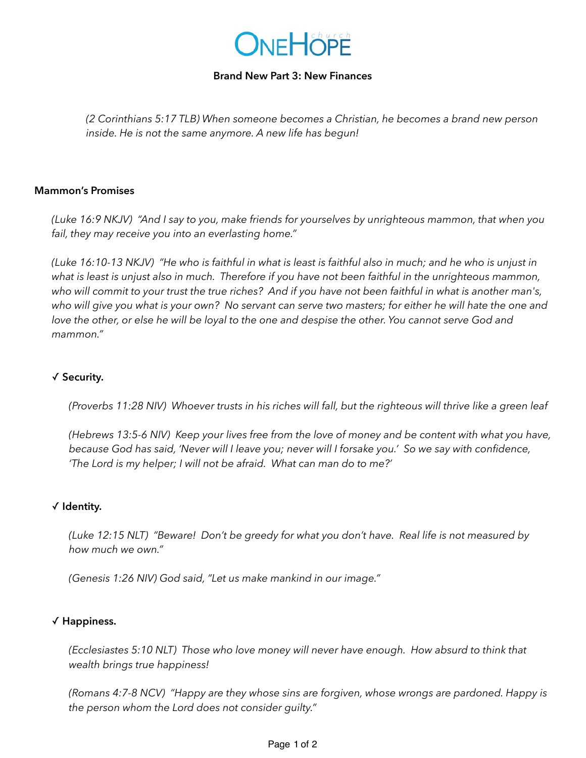

### **Brand New Part 3: New Finances**

*(2 Corinthians 5:17 TLB) When someone becomes a Christian, he becomes a brand new person inside. He is not the same anymore. A new life has begun!* 

#### **Mammon's Promises**

*(Luke 16:9 NKJV) "And I say to you, make friends for yourselves by unrighteous mammon, that when you fail, they may receive you into an everlasting home."*

*(Luke 16:10-13 NKJV) "He who is faithful in what is least is faithful also in much; and he who is unjust in what is least is unjust also in much. Therefore if you have not been faithful in the unrighteous mammon, who will commit to your trust the true riches? And if you have not been faithful in what is another man's, who will give you what is your own? No servant can serve two masters; for either he will hate the one and*  love the other, or else he will be loyal to the one and despise the other. You cannot serve God and *mammon."* 

# ✓ **Security.**

*(Proverbs 11:28 NIV) Whoever trusts in his riches will fall, but the righteous will thrive like a green leaf*

*(Hebrews 13:5-6 NIV) Keep your lives free from the love of money and be content with what you have, because God has said, 'Never will I leave you; never will I forsake you.' So we say with confidence, 'The Lord is my helper; I will not be afraid. What can man do to me?'* 

### ✓ **Identity.**

*(Luke 12:15 NLT) "Beware! Don't be greedy for what you don't have. Real life is not measured by how much we own."*

*(Genesis 1:26 NIV) God said, "Let us make mankind in our image."* 

### ✓ **Happiness.**

*(Ecclesiastes 5:10 NLT) Those who love money will never have enough. How absurd to think that wealth brings true happiness!* 

*(Romans 4:7-8 NCV) "Happy are they whose sins are forgiven, whose wrongs are pardoned. Happy is the person whom the Lord does not consider guilty."*